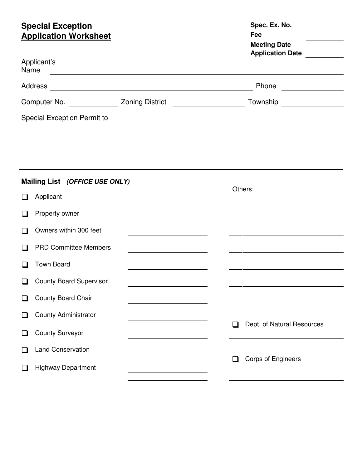# **Special Exception** *Special Exception Spec. Ex. No.*

| <b>Application Worksheet</b>              |                                                                                                                      | Fee<br><b>Meeting Date</b><br>Application Date                                    |
|-------------------------------------------|----------------------------------------------------------------------------------------------------------------------|-----------------------------------------------------------------------------------|
| Applicant's<br>Name                       | <u> 1980 - Johann Stone, margin eta bainar eta bat zen bat zen bat zen bat zen bat zen bat zen bat zen bat zen b</u> |                                                                                   |
|                                           |                                                                                                                      |                                                                                   |
|                                           |                                                                                                                      | Computer No. ________________ Zoning District ___________________________________ |
|                                           |                                                                                                                      |                                                                                   |
|                                           |                                                                                                                      |                                                                                   |
|                                           |                                                                                                                      |                                                                                   |
|                                           |                                                                                                                      |                                                                                   |
| Mailing List (OFFICE USE ONLY)            |                                                                                                                      |                                                                                   |
| Applicant<br>$\mathsf{L}$                 |                                                                                                                      | Others:                                                                           |
| Property owner                            | <u> 1989 - Johann Stein, mars an t-Amerikaansk kommunister (</u>                                                     |                                                                                   |
| Owners within 300 feet                    |                                                                                                                      |                                                                                   |
| <b>PRD Committee Members</b>              |                                                                                                                      |                                                                                   |
| <b>Town Board</b>                         |                                                                                                                      |                                                                                   |
| <b>County Board Supervisor</b>            |                                                                                                                      |                                                                                   |
| <b>County Board Chair</b>                 |                                                                                                                      |                                                                                   |
| <b>County Administrator</b>               |                                                                                                                      |                                                                                   |
| <b>County Surveyor</b>                    |                                                                                                                      | Dept. of Natural Resources<br>❏                                                   |
| <b>Land Conservation</b>                  |                                                                                                                      |                                                                                   |
| <b>Highway Department</b><br>$\mathbf{r}$ |                                                                                                                      | <b>Corps of Engineers</b><br>ப                                                    |
|                                           |                                                                                                                      |                                                                                   |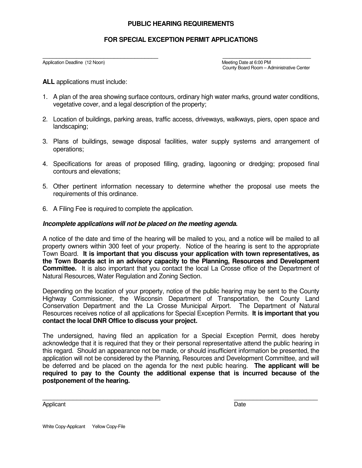#### **PUBLIC HEARING REQUIREMENTS**

### **FOR SPECIAL EXCEPTION PERMIT APPLICATIONS**

\_\_\_\_\_\_\_\_\_\_\_\_\_\_\_\_\_\_\_\_\_\_\_\_\_\_\_\_\_\_\_\_\_\_ \_\_\_\_\_\_\_\_\_\_\_\_\_\_\_\_\_\_\_\_\_\_\_\_\_\_ Application Deadline (12 Noon) Meeting Date at 6:00 PM County Board Room – Administrative Center

**ALL** applications must include:

- 1. A plan of the area showing surface contours, ordinary high water marks, ground water conditions, vegetative cover, and a legal description of the property;
- 2. Location of buildings, parking areas, traffic access, driveways, walkways, piers, open space and landscaping;
- 3. Plans of buildings, sewage disposal facilities, water supply systems and arrangement of operations;
- 4. Specifications for areas of proposed filling, grading, lagooning or dredging; proposed final contours and elevations;
- 5. Other pertinent information necessary to determine whether the proposal use meets the requirements of this ordinance.
- 6. A Filing Fee is required to complete the application.

#### **Incomplete applications will not be placed on the meeting agenda.**

A notice of the date and time of the hearing will be mailed to you, and a notice will be mailed to all property owners within 300 feet of your property. Notice of the hearing is sent to the appropriate Town Board. **It is important that you discuss your application with town representatives, as the Town Boards act in an advisory capacity to the Planning, Resources and Development Committee.** It is also important that you contact the local La Crosse office of the Department of Natural Resources, Water Regulation and Zoning Section.

Depending on the location of your property, notice of the public hearing may be sent to the County Highway Commissioner, the Wisconsin Department of Transportation, the County Land Conservation Department and the La Crosse Municipal Airport. The Department of Natural Resources receives notice of all applications for Special Exception Permits. **It is important that you contact the local DNR Office to discuss your project.** 

The undersigned, having filed an application for a Special Exception Permit, does hereby acknowledge that it is required that they or their personal representative attend the public hearing in this regard. Should an appearance not be made, or should insufficient information be presented, the application will not be considered by the Planning, Resources and Development Committee, and will be deferred and be placed on the agenda for the next public hearing. **The applicant will be required to pay to the County the additional expense that is incurred because of the postponement of the hearing.**

 $\overline{\phantom{a}}$  , and the contract of the contract of the contract of the contract of the contract of the contract of the contract of the contract of the contract of the contract of the contract of the contract of the contrac

Applicant Date **Date**